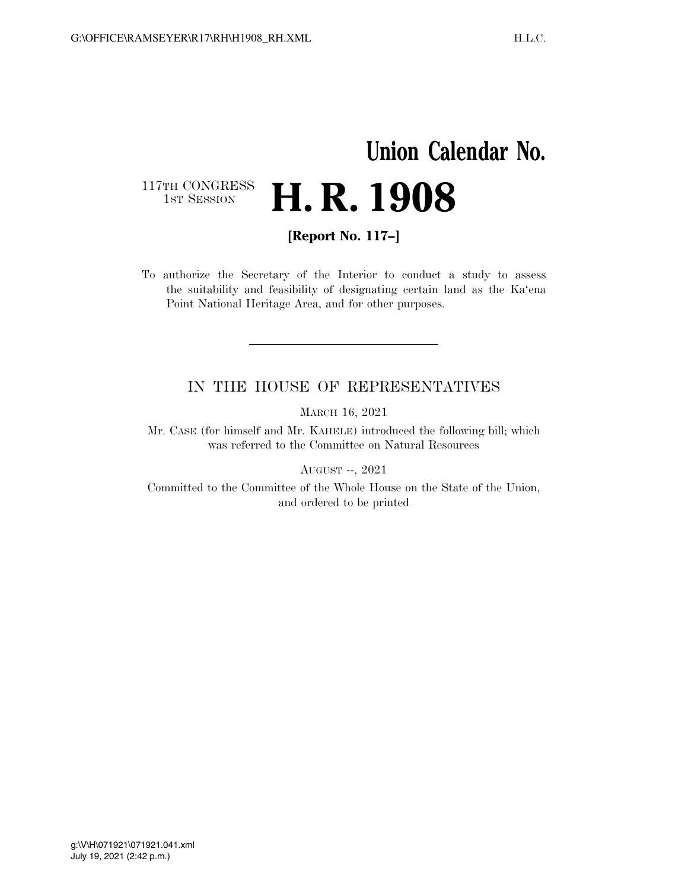## **Union Calendar No.**  117TH CONGRESS<br>1st Session H. R. 1908

**[Report No. 117–]** 

To authorize the Secretary of the Interior to conduct a study to assess the suitability and feasibility of designating certain land as the Ka'ena Point National Heritage Area, and for other purposes.

## IN THE HOUSE OF REPRESENTATIVES

MARCH 16, 2021

Mr. CASE (for himself and Mr. KAHELE) introduced the following bill; which was referred to the Committee on Natural Resources

AUGUST --, 2021

Committed to the Committee of the Whole House on the State of the Union, and ordered to be printed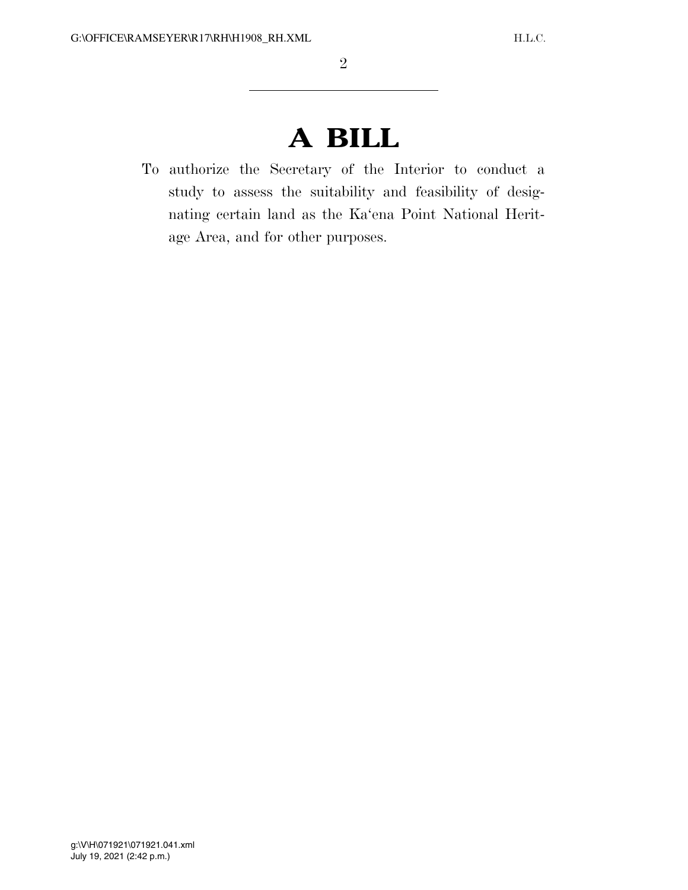## **A BILL**

To authorize the Secretary of the Interior to conduct a study to assess the suitability and feasibility of designating certain land as the Ka'ena Point National Heritage Area, and for other purposes.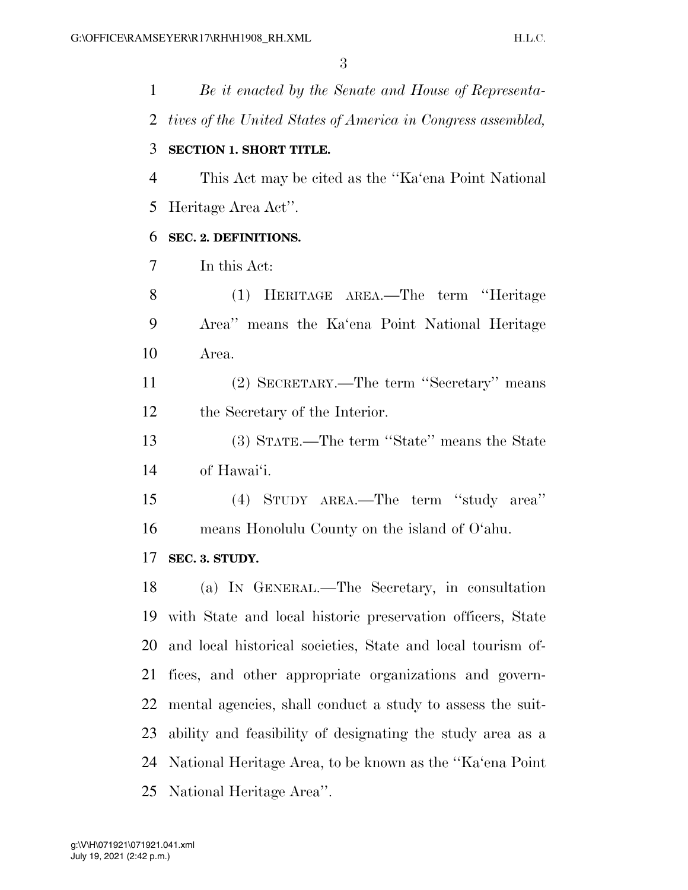*Be it enacted by the Senate and House of Representa- tives of the United States of America in Congress assembled,*  **SECTION 1. SHORT TITLE.**  This Act may be cited as the ''Ka'ena Point National Heritage Area Act''. **SEC. 2. DEFINITIONS.**  In this Act: (1) HERITAGE AREA.—The term ''Heritage Area'' means the Ka'ena Point National Heritage Area. (2) SECRETARY.—The term ''Secretary'' means the Secretary of the Interior. (3) STATE.—The term ''State'' means the State of Hawai'i. (4) STUDY AREA.—The term ''study area'' means Honolulu County on the island of O'ahu. **SEC. 3. STUDY.**  (a) IN GENERAL.—The Secretary, in consultation with State and local historic preservation officers, State and local historical societies, State and local tourism of- fices, and other appropriate organizations and govern- mental agencies, shall conduct a study to assess the suit- ability and feasibility of designating the study area as a National Heritage Area, to be known as the ''Ka'ena Point National Heritage Area''.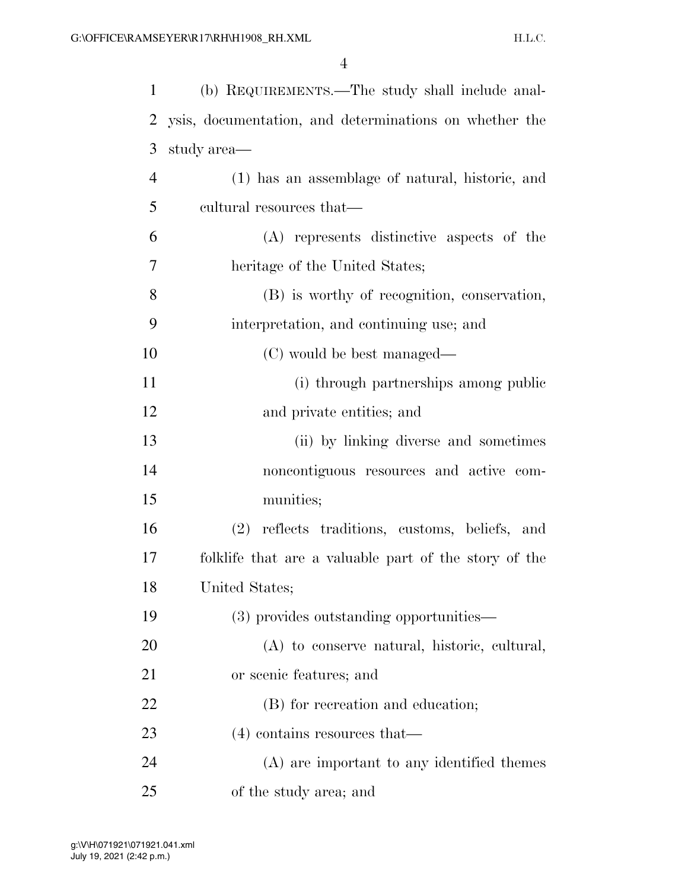| 1              | (b) REQUIREMENTS.—The study shall include anal-        |
|----------------|--------------------------------------------------------|
| 2              | ysis, documentation, and determinations on whether the |
| 3              | study area—                                            |
| $\overline{4}$ | (1) has an assemblage of natural, historic, and        |
| 5              | cultural resources that—                               |
| 6              | (A) represents distinctive aspects of the              |
| 7              | heritage of the United States;                         |
| 8              | (B) is worthy of recognition, conservation,            |
| 9              | interpretation, and continuing use; and                |
| 10             | (C) would be best managed—                             |
| 11             | (i) through partnerships among public                  |
| 12             | and private entities; and                              |
| 13             | (ii) by linking diverse and sometimes                  |
| 14             | noncontiguous resources and active com-                |
| 15             | munities;                                              |
| 16             | reflects traditions, customs, beliefs, and<br>(2)      |
| 17             | folklife that are a valuable part of the story of the  |
| 18             | United States;                                         |
| 19             | (3) provides outstanding opportunities—                |
| 20             | (A) to conserve natural, historic, cultural,           |
| 21             | or scenic features; and                                |
| 22             | (B) for recreation and education;                      |
| 23             | $(4)$ contains resources that—                         |
| 24             | (A) are important to any identified themes             |
| 25             | of the study area; and                                 |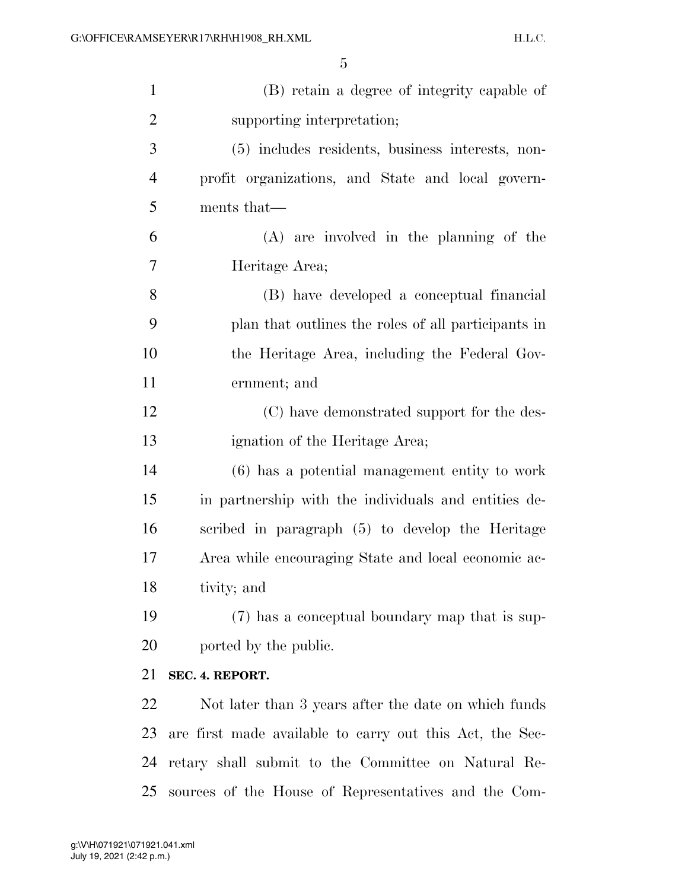| $\mathbf{1}$   | (B) retain a degree of integrity capable of              |
|----------------|----------------------------------------------------------|
| $\overline{2}$ | supporting interpretation;                               |
| 3              | (5) includes residents, business interests, non-         |
| $\overline{4}$ | profit organizations, and State and local govern-        |
| 5              | ments that—                                              |
| 6              | $(A)$ are involved in the planning of the                |
| 7              | Heritage Area;                                           |
| 8              | (B) have developed a conceptual financial                |
| 9              | plan that outlines the roles of all participants in      |
| 10             | the Heritage Area, including the Federal Gov-            |
| 11             | ernment; and                                             |
| 12             | (C) have demonstrated support for the des-               |
| 13             | ignation of the Heritage Area;                           |
| 14             | $(6)$ has a potential management entity to work          |
| 15             | in partnership with the individuals and entities de-     |
| 16             | scribed in paragraph (5) to develop the Heritage         |
| 17             | Area while encouraging State and local economic ac-      |
| 18             | tivity; and                                              |
| 19             | (7) has a conceptual boundary map that is sup-           |
| 20             | ported by the public.                                    |
| 21             | SEC. 4. REPORT.                                          |
| 22             | Not later than 3 years after the date on which funds     |
| 23             | are first made available to carry out this Act, the Sec- |
| 24             | retary shall submit to the Committee on Natural Re-      |
| 25             | sources of the House of Representatives and the Com-     |